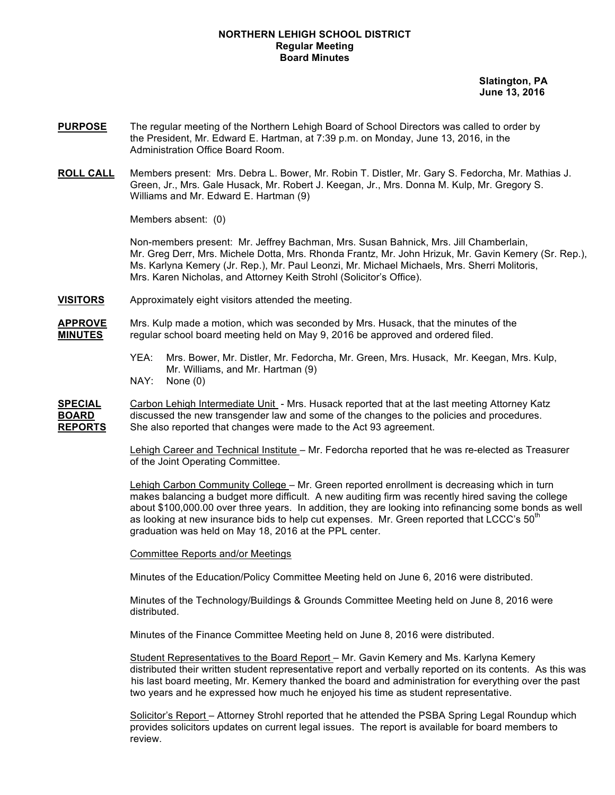#### **NORTHERN LEHIGH SCHOOL DISTRICT Regular Meeting Board Minutes**

 **Slatington, PA June 13, 2016**

- **PURPOSE** The regular meeting of the Northern Lehigh Board of School Directors was called to order by the President, Mr. Edward E. Hartman, at 7:39 p.m. on Monday, June 13, 2016, in the Administration Office Board Room.
- **ROLL CALL** Members present: Mrs. Debra L. Bower, Mr. Robin T. Distler, Mr. Gary S. Fedorcha, Mr. Mathias J. Green, Jr., Mrs. Gale Husack, Mr. Robert J. Keegan, Jr., Mrs. Donna M. Kulp, Mr. Gregory S. Williams and Mr. Edward E. Hartman (9)

Members absent: (0)

Non-members present: Mr. Jeffrey Bachman, Mrs. Susan Bahnick, Mrs. Jill Chamberlain, Mr. Greg Derr, Mrs. Michele Dotta, Mrs. Rhonda Frantz, Mr. John Hrizuk, Mr. Gavin Kemery (Sr. Rep.), Ms. Karlyna Kemery (Jr. Rep.), Mr. Paul Leonzi, Mr. Michael Michaels, Mrs. Sherri Molitoris, Mrs. Karen Nicholas, and Attorney Keith Strohl (Solicitor's Office).

**VISITORS** Approximately eight visitors attended the meeting.

**APPROVE** Mrs. Kulp made a motion, which was seconded by Mrs. Husack, that the minutes of the **MINUTES** regular school board meeting held on May 9, 2016 be approved and ordered filed.

- YEA: Mrs. Bower, Mr. Distler, Mr. Fedorcha, Mr. Green, Mrs. Husack, Mr. Keegan, Mrs. Kulp, Mr. Williams, and Mr. Hartman (9)
- NAY: None (0)

**SPECIAL** Carbon Lehigh Intermediate Unit - Mrs. Husack reported that at the last meeting Attorney Katz **BOARD** discussed the new transgender law and some of the changes to the policies and procedures. **REPORTS** She also reported that changes were made to the Act 93 agreement.

> Lehigh Career and Technical Institute – Mr. Fedorcha reported that he was re-elected as Treasurer of the Joint Operating Committee.

Lehigh Carbon Community College – Mr. Green reported enrollment is decreasing which in turn makes balancing a budget more difficult. A new auditing firm was recently hired saving the college about \$100,000.00 over three years. In addition, they are looking into refinancing some bonds as well as looking at new insurance bids to help cut expenses. Mr. Green reported that LCCC's  $50<sup>th</sup>$ graduation was held on May 18, 2016 at the PPL center.

Committee Reports and/or Meetings

Minutes of the Education/Policy Committee Meeting held on June 6, 2016 were distributed.

Minutes of the Technology/Buildings & Grounds Committee Meeting held on June 8, 2016 were distributed.

Minutes of the Finance Committee Meeting held on June 8, 2016 were distributed.

Student Representatives to the Board Report – Mr. Gavin Kemery and Ms. Karlyna Kemery distributed their written student representative report and verbally reported on its contents. As this was his last board meeting, Mr. Kemery thanked the board and administration for everything over the past two years and he expressed how much he enjoyed his time as student representative.

Solicitor's Report – Attorney Strohl reported that he attended the PSBA Spring Legal Roundup which provides solicitors updates on current legal issues. The report is available for board members to review.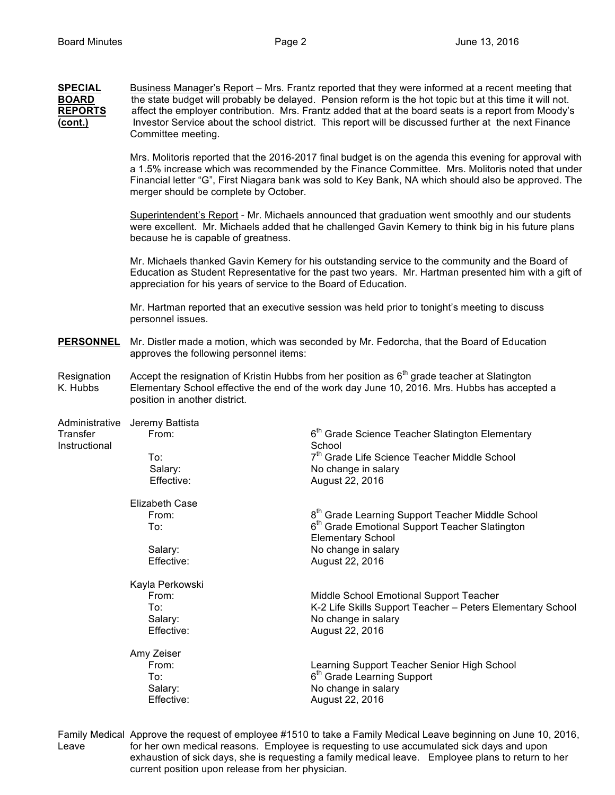| <b>SPECIAL</b><br><b>BOARD</b><br><b>REPORTS</b><br><u>(cont.)</u> | Business Manager's Report – Mrs. Frantz reported that they were informed at a recent meeting that<br>the state budget will probably be delayed. Pension reform is the hot topic but at this time it will not.<br>affect the employer contribution. Mrs. Frantz added that at the board seats is a report from Moody's<br>Investor Service about the school district. This report will be discussed further at the next Finance<br>Committee meeting. |                                                                                                                                                                                                                                                                                                                             |  |  |
|--------------------------------------------------------------------|------------------------------------------------------------------------------------------------------------------------------------------------------------------------------------------------------------------------------------------------------------------------------------------------------------------------------------------------------------------------------------------------------------------------------------------------------|-----------------------------------------------------------------------------------------------------------------------------------------------------------------------------------------------------------------------------------------------------------------------------------------------------------------------------|--|--|
|                                                                    | Mrs. Molitoris reported that the 2016-2017 final budget is on the agenda this evening for approval with<br>a 1.5% increase which was recommended by the Finance Committee. Mrs. Molitoris noted that under<br>Financial letter "G", First Niagara bank was sold to Key Bank, NA which should also be approved. The<br>merger should be complete by October.                                                                                          |                                                                                                                                                                                                                                                                                                                             |  |  |
|                                                                    | Superintendent's Report - Mr. Michaels announced that graduation went smoothly and our students<br>were excellent. Mr. Michaels added that he challenged Gavin Kemery to think big in his future plans<br>because he is capable of greatness.                                                                                                                                                                                                        |                                                                                                                                                                                                                                                                                                                             |  |  |
|                                                                    | Mr. Michaels thanked Gavin Kemery for his outstanding service to the community and the Board of<br>Education as Student Representative for the past two years. Mr. Hartman presented him with a gift of<br>appreciation for his years of service to the Board of Education.                                                                                                                                                                          |                                                                                                                                                                                                                                                                                                                             |  |  |
|                                                                    | Mr. Hartman reported that an executive session was held prior to tonight's meeting to discuss<br>personnel issues.                                                                                                                                                                                                                                                                                                                                   |                                                                                                                                                                                                                                                                                                                             |  |  |
| <b>PERSONNEL</b>                                                   | Mr. Distler made a motion, which was seconded by Mr. Fedorcha, that the Board of Education<br>approves the following personnel items:                                                                                                                                                                                                                                                                                                                |                                                                                                                                                                                                                                                                                                                             |  |  |
| Resignation<br>K. Hubbs                                            | Accept the resignation of Kristin Hubbs from her position as 6 <sup>th</sup> grade teacher at Slatington<br>Elementary School effective the end of the work day June 10, 2016. Mrs. Hubbs has accepted a<br>position in another district.                                                                                                                                                                                                            |                                                                                                                                                                                                                                                                                                                             |  |  |
| Administrative<br>Transfer<br>Instructional                        | Jeremy Battista<br>From:<br>To:<br>Salary:<br>Effective:<br><b>Elizabeth Case</b><br>From:<br>To:                                                                                                                                                                                                                                                                                                                                                    | 6 <sup>th</sup> Grade Science Teacher Slatington Elementary<br>School<br>7 <sup>th</sup> Grade Life Science Teacher Middle School<br>No change in salary<br>August 22, 2016<br>8 <sup>th</sup> Grade Learning Support Teacher Middle School<br>$6th$ Grade Emotional Support Teacher Slatington<br><b>Elementary School</b> |  |  |
|                                                                    | Salary:<br>Effective:                                                                                                                                                                                                                                                                                                                                                                                                                                | No change in salary<br>August 22, 2016                                                                                                                                                                                                                                                                                      |  |  |
|                                                                    | Kayla Perkowski<br>From:<br>To:<br>Salary:<br>Effective:                                                                                                                                                                                                                                                                                                                                                                                             | Middle School Emotional Support Teacher<br>K-2 Life Skills Support Teacher - Peters Elementary School<br>No change in salary<br>August 22, 2016                                                                                                                                                                             |  |  |
|                                                                    | Amy Zeiser<br>From:<br>To:<br>Salary:<br>Effective:                                                                                                                                                                                                                                                                                                                                                                                                  | Learning Support Teacher Senior High School<br>6 <sup>th</sup> Grade Learning Support<br>No change in salary<br>August 22, 2016                                                                                                                                                                                             |  |  |

Family Medical Approve the request of employee #1510 to take a Family Medical Leave beginning on June 10, 2016, Leave for her own medical reasons. Employee is requesting to use accumulated sick days and upon exhaustion of sick days, she is requesting a family medical leave. Employee plans to return to her current position upon release from her physician.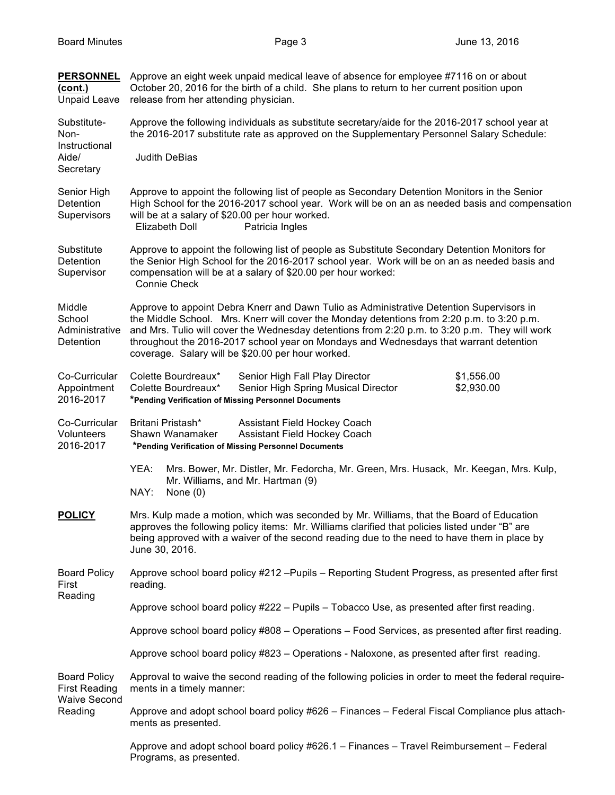| <b>PERSONNEL</b><br>(cont.)<br><b>Unpaid Leave</b>                            | Approve an eight week unpaid medical leave of absence for employee #7116 on or about<br>October 20, 2016 for the birth of a child. She plans to return to her current position upon<br>release from her attending physician.                                                                                                                                                                                                          |  |  |
|-------------------------------------------------------------------------------|---------------------------------------------------------------------------------------------------------------------------------------------------------------------------------------------------------------------------------------------------------------------------------------------------------------------------------------------------------------------------------------------------------------------------------------|--|--|
| Substitute-<br>Non-<br>Instructional<br>Aide/<br>Secretary                    | Approve the following individuals as substitute secretary/aide for the 2016-2017 school year at<br>the 2016-2017 substitute rate as approved on the Supplementary Personnel Salary Schedule:                                                                                                                                                                                                                                          |  |  |
|                                                                               | <b>Judith DeBias</b>                                                                                                                                                                                                                                                                                                                                                                                                                  |  |  |
| Senior High<br><b>Detention</b><br>Supervisors                                | Approve to appoint the following list of people as Secondary Detention Monitors in the Senior<br>High School for the 2016-2017 school year. Work will be on an as needed basis and compensation<br>will be at a salary of \$20.00 per hour worked.<br>Elizabeth Doll<br>Patricia Ingles                                                                                                                                               |  |  |
| Substitute<br><b>Detention</b><br>Supervisor                                  | Approve to appoint the following list of people as Substitute Secondary Detention Monitors for<br>the Senior High School for the 2016-2017 school year. Work will be on an as needed basis and<br>compensation will be at a salary of \$20.00 per hour worked:<br>Connie Check                                                                                                                                                        |  |  |
| Middle<br>School<br>Administrative<br>Detention                               | Approve to appoint Debra Knerr and Dawn Tulio as Administrative Detention Supervisors in<br>the Middle School. Mrs. Knerr will cover the Monday detentions from 2:20 p.m. to 3:20 p.m.<br>and Mrs. Tulio will cover the Wednesday detentions from 2:20 p.m. to 3:20 p.m. They will work<br>throughout the 2016-2017 school year on Mondays and Wednesdays that warrant detention<br>coverage. Salary will be \$20.00 per hour worked. |  |  |
| Co-Curricular<br>Appointment<br>2016-2017                                     | Colette Bourdreaux*<br>Senior High Fall Play Director<br>\$1,556.00<br>\$2,930.00<br>Colette Bourdreaux*<br>Senior High Spring Musical Director<br>*Pending Verification of Missing Personnel Documents                                                                                                                                                                                                                               |  |  |
| Co-Curricular<br><b>Volunteers</b><br>2016-2017                               | Britani Pristash*<br>Assistant Field Hockey Coach<br>Shawn Wanamaker<br>Assistant Field Hockey Coach<br>*Pending Verification of Missing Personnel Documents                                                                                                                                                                                                                                                                          |  |  |
|                                                                               | YEA:<br>Mrs. Bower, Mr. Distler, Mr. Fedorcha, Mr. Green, Mrs. Husack, Mr. Keegan, Mrs. Kulp,<br>Mr. Williams, and Mr. Hartman (9)<br>NAY:<br>None $(0)$                                                                                                                                                                                                                                                                              |  |  |
| <b>POLICY</b>                                                                 | Mrs. Kulp made a motion, which was seconded by Mr. Williams, that the Board of Education<br>approves the following policy items: Mr. Williams clarified that policies listed under "B" are<br>being approved with a waiver of the second reading due to the need to have them in place by<br>June 30, 2016.                                                                                                                           |  |  |
| <b>Board Policy</b><br>First                                                  | Approve school board policy #212 - Pupils - Reporting Student Progress, as presented after first<br>reading.                                                                                                                                                                                                                                                                                                                          |  |  |
| Reading                                                                       | Approve school board policy #222 – Pupils – Tobacco Use, as presented after first reading.                                                                                                                                                                                                                                                                                                                                            |  |  |
|                                                                               | Approve school board policy #808 - Operations - Food Services, as presented after first reading.                                                                                                                                                                                                                                                                                                                                      |  |  |
|                                                                               | Approve school board policy #823 - Operations - Naloxone, as presented after first reading.                                                                                                                                                                                                                                                                                                                                           |  |  |
| <b>Board Policy</b><br><b>First Reading</b><br><b>Waive Second</b><br>Reading | Approval to waive the second reading of the following policies in order to meet the federal require-<br>ments in a timely manner:                                                                                                                                                                                                                                                                                                     |  |  |
|                                                                               | Approve and adopt school board policy #626 - Finances - Federal Fiscal Compliance plus attach-<br>ments as presented.                                                                                                                                                                                                                                                                                                                 |  |  |
|                                                                               | Approve and adopt school board policy #626.1 - Finances - Travel Reimbursement - Federal<br>Programs, as presented.                                                                                                                                                                                                                                                                                                                   |  |  |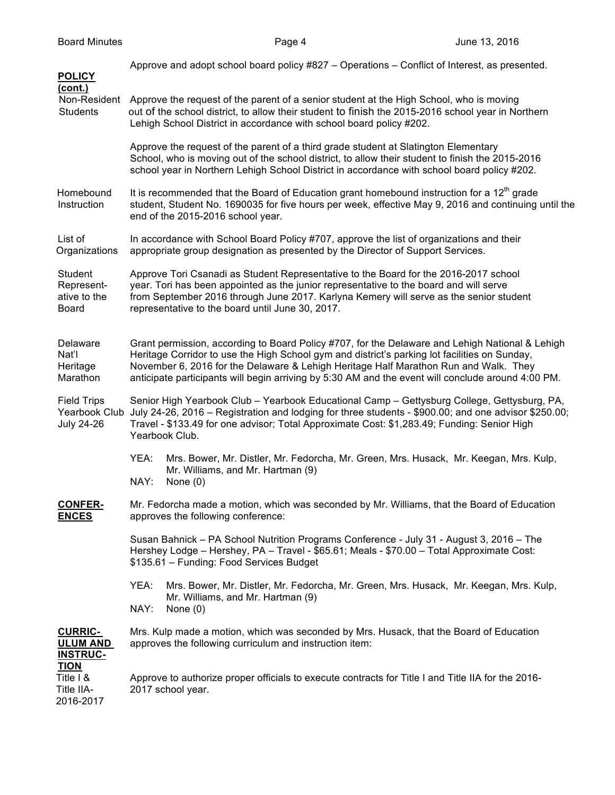| <b>POLICY</b>                                            | Approve and adopt school board policy #827 – Operations – Conflict of Interest, as presented.                                                                                                                                                                                                                                                                                                  |  |  |  |
|----------------------------------------------------------|------------------------------------------------------------------------------------------------------------------------------------------------------------------------------------------------------------------------------------------------------------------------------------------------------------------------------------------------------------------------------------------------|--|--|--|
| (cont.)<br>Non-Resident<br><b>Students</b>               | Approve the request of the parent of a senior student at the High School, who is moving<br>out of the school district, to allow their student to finish the 2015-2016 school year in Northern<br>Lehigh School District in accordance with school board policy #202.                                                                                                                           |  |  |  |
|                                                          | Approve the request of the parent of a third grade student at Slatington Elementary<br>School, who is moving out of the school district, to allow their student to finish the 2015-2016<br>school year in Northern Lehigh School District in accordance with school board policy #202.                                                                                                         |  |  |  |
| Homebound<br>Instruction                                 | It is recommended that the Board of Education grant homebound instruction for a 12 <sup>th</sup> grade<br>student, Student No. 1690035 for five hours per week, effective May 9, 2016 and continuing until the<br>end of the 2015-2016 school year.                                                                                                                                            |  |  |  |
| List of<br>Organizations                                 | In accordance with School Board Policy #707, approve the list of organizations and their<br>appropriate group designation as presented by the Director of Support Services.                                                                                                                                                                                                                    |  |  |  |
| Student<br>Represent-<br>ative to the<br>Board           | Approve Tori Csanadi as Student Representative to the Board for the 2016-2017 school<br>year. Tori has been appointed as the junior representative to the board and will serve<br>from September 2016 through June 2017. Karlyna Kemery will serve as the senior student<br>representative to the board until June 30, 2017.                                                                   |  |  |  |
| Delaware<br>Nat'l<br>Heritage<br>Marathon                | Grant permission, according to Board Policy #707, for the Delaware and Lehigh National & Lehigh<br>Heritage Corridor to use the High School gym and district's parking lot facilities on Sunday,<br>November 6, 2016 for the Delaware & Lehigh Heritage Half Marathon Run and Walk. They<br>anticipate participants will begin arriving by 5:30 AM and the event will conclude around 4:00 PM. |  |  |  |
| <b>Field Trips</b><br>Yearbook Club<br><b>July 24-26</b> | Senior High Yearbook Club - Yearbook Educational Camp - Gettysburg College, Gettysburg, PA,<br>July 24-26, 2016 – Registration and lodging for three students - \$900.00; and one advisor \$250.00;<br>Travel - \$133.49 for one advisor; Total Approximate Cost: \$1,283.49; Funding: Senior High<br>Yearbook Club.                                                                           |  |  |  |
|                                                          | YEA:<br>Mrs. Bower, Mr. Distler, Mr. Fedorcha, Mr. Green, Mrs. Husack, Mr. Keegan, Mrs. Kulp,<br>Mr. Williams, and Mr. Hartman (9)<br>NAY:<br>None $(0)$                                                                                                                                                                                                                                       |  |  |  |
| <b>CONFER-</b><br><b>ENCES</b>                           | Mr. Fedorcha made a motion, which was seconded by Mr. Williams, that the Board of Education<br>approves the following conference:                                                                                                                                                                                                                                                              |  |  |  |
|                                                          | Susan Bahnick - PA School Nutrition Programs Conference - July 31 - August 3, 2016 - The<br>Hershey Lodge - Hershey, PA - Travel - \$65.61; Meals - \$70.00 - Total Approximate Cost:<br>\$135.61 - Funding: Food Services Budget                                                                                                                                                              |  |  |  |
|                                                          | YEA:<br>Mrs. Bower, Mr. Distler, Mr. Fedorcha, Mr. Green, Mrs. Husack, Mr. Keegan, Mrs. Kulp,<br>Mr. Williams, and Mr. Hartman (9)<br>NAY:<br>None $(0)$                                                                                                                                                                                                                                       |  |  |  |
| <b>CURRIC-</b><br><b>ULUM AND</b><br><b>INSTRUC-</b>     | Mrs. Kulp made a motion, which was seconded by Mrs. Husack, that the Board of Education<br>approves the following curriculum and instruction item:                                                                                                                                                                                                                                             |  |  |  |
| <b>TION</b><br>Title I &<br>Title IIA-<br>2016-2017      | Approve to authorize proper officials to execute contracts for Title I and Title IIA for the 2016-<br>2017 school year.                                                                                                                                                                                                                                                                        |  |  |  |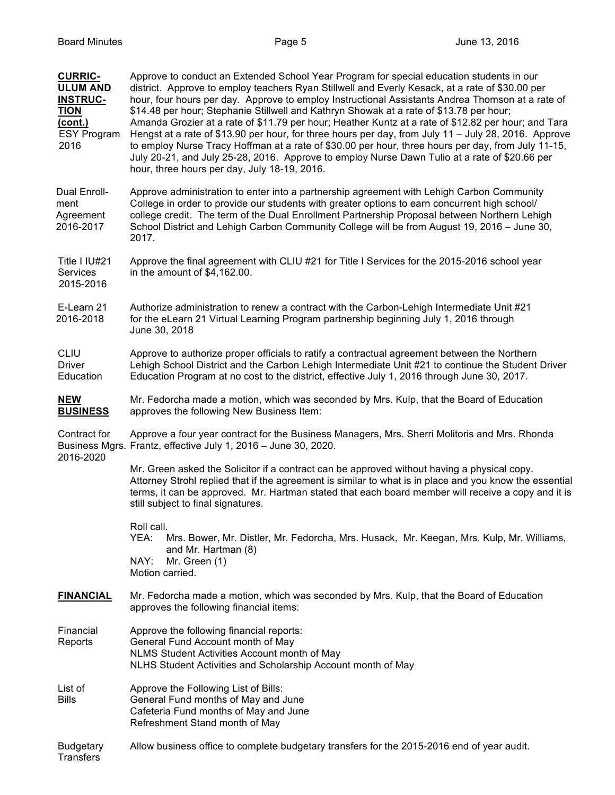| <b>CURRIC-</b><br><b>ULUM AND</b><br><b>INSTRUC-</b><br><b>TION</b><br>(cont.)<br><b>ESY Program</b><br>2016 | Approve to conduct an Extended School Year Program for special education students in our<br>district. Approve to employ teachers Ryan Stillwell and Everly Kesack, at a rate of \$30.00 per<br>hour, four hours per day. Approve to employ Instructional Assistants Andrea Thomson at a rate of<br>\$14.48 per hour; Stephanie Stillwell and Kathryn Showak at a rate of \$13.78 per hour;<br>Amanda Grozier at a rate of \$11.79 per hour; Heather Kuntz at a rate of \$12.82 per hour; and Tara<br>Hengst at a rate of \$13.90 per hour, for three hours per day, from July 11 - July 28, 2016. Approve<br>to employ Nurse Tracy Hoffman at a rate of \$30.00 per hour, three hours per day, from July 11-15,<br>July 20-21, and July 25-28, 2016. Approve to employ Nurse Dawn Tulio at a rate of \$20.66 per<br>hour, three hours per day, July 18-19, 2016. |  |  |
|--------------------------------------------------------------------------------------------------------------|------------------------------------------------------------------------------------------------------------------------------------------------------------------------------------------------------------------------------------------------------------------------------------------------------------------------------------------------------------------------------------------------------------------------------------------------------------------------------------------------------------------------------------------------------------------------------------------------------------------------------------------------------------------------------------------------------------------------------------------------------------------------------------------------------------------------------------------------------------------|--|--|
| Dual Enroll-<br>ment<br>Agreement<br>2016-2017                                                               | Approve administration to enter into a partnership agreement with Lehigh Carbon Community<br>College in order to provide our students with greater options to earn concurrent high school/<br>college credit. The term of the Dual Enrollment Partnership Proposal between Northern Lehigh<br>School District and Lehigh Carbon Community College will be from August 19, 2016 - June 30,<br>2017.                                                                                                                                                                                                                                                                                                                                                                                                                                                               |  |  |
| Title I IU#21<br>Services<br>2015-2016                                                                       | Approve the final agreement with CLIU #21 for Title I Services for the 2015-2016 school year<br>in the amount of \$4,162.00.                                                                                                                                                                                                                                                                                                                                                                                                                                                                                                                                                                                                                                                                                                                                     |  |  |
| E-Learn 21<br>2016-2018                                                                                      | Authorize administration to renew a contract with the Carbon-Lehigh Intermediate Unit #21<br>for the eLearn 21 Virtual Learning Program partnership beginning July 1, 2016 through<br>June 30, 2018                                                                                                                                                                                                                                                                                                                                                                                                                                                                                                                                                                                                                                                              |  |  |
| <b>CLIU</b><br><b>Driver</b><br>Education                                                                    | Approve to authorize proper officials to ratify a contractual agreement between the Northern<br>Lehigh School District and the Carbon Lehigh Intermediate Unit #21 to continue the Student Driver<br>Education Program at no cost to the district, effective July 1, 2016 through June 30, 2017.                                                                                                                                                                                                                                                                                                                                                                                                                                                                                                                                                                 |  |  |
| <b>NEW</b><br><b>BUSINESS</b>                                                                                | Mr. Fedorcha made a motion, which was seconded by Mrs. Kulp, that the Board of Education<br>approves the following New Business Item:                                                                                                                                                                                                                                                                                                                                                                                                                                                                                                                                                                                                                                                                                                                            |  |  |
| Contract for                                                                                                 | Approve a four year contract for the Business Managers, Mrs. Sherri Molitoris and Mrs. Rhonda<br>Business Mgrs. Frantz, effective July 1, 2016 - June 30, 2020.                                                                                                                                                                                                                                                                                                                                                                                                                                                                                                                                                                                                                                                                                                  |  |  |
| 2016-2020                                                                                                    | Mr. Green asked the Solicitor if a contract can be approved without having a physical copy.<br>Attorney Strohl replied that if the agreement is similar to what is in place and you know the essential<br>terms, it can be approved. Mr. Hartman stated that each board member will receive a copy and it is<br>still subject to final signatures.                                                                                                                                                                                                                                                                                                                                                                                                                                                                                                               |  |  |
|                                                                                                              | Roll call.<br>YEA:<br>Mrs. Bower, Mr. Distler, Mr. Fedorcha, Mrs. Husack, Mr. Keegan, Mrs. Kulp, Mr. Williams,                                                                                                                                                                                                                                                                                                                                                                                                                                                                                                                                                                                                                                                                                                                                                   |  |  |
|                                                                                                              | and Mr. Hartman (8)<br>NAY:<br>Mr. Green (1)<br>Motion carried.                                                                                                                                                                                                                                                                                                                                                                                                                                                                                                                                                                                                                                                                                                                                                                                                  |  |  |
| <b>FINANCIAL</b>                                                                                             | Mr. Fedorcha made a motion, which was seconded by Mrs. Kulp, that the Board of Education<br>approves the following financial items:                                                                                                                                                                                                                                                                                                                                                                                                                                                                                                                                                                                                                                                                                                                              |  |  |
| Financial<br>Reports                                                                                         | Approve the following financial reports:<br>General Fund Account month of May<br>NLMS Student Activities Account month of May<br>NLHS Student Activities and Scholarship Account month of May                                                                                                                                                                                                                                                                                                                                                                                                                                                                                                                                                                                                                                                                    |  |  |
| List of<br><b>Bills</b>                                                                                      | Approve the Following List of Bills:<br>General Fund months of May and June<br>Cafeteria Fund months of May and June<br>Refreshment Stand month of May                                                                                                                                                                                                                                                                                                                                                                                                                                                                                                                                                                                                                                                                                                           |  |  |
| <b>Budgetary</b><br>Transfers                                                                                | Allow business office to complete budgetary transfers for the 2015-2016 end of year audit.                                                                                                                                                                                                                                                                                                                                                                                                                                                                                                                                                                                                                                                                                                                                                                       |  |  |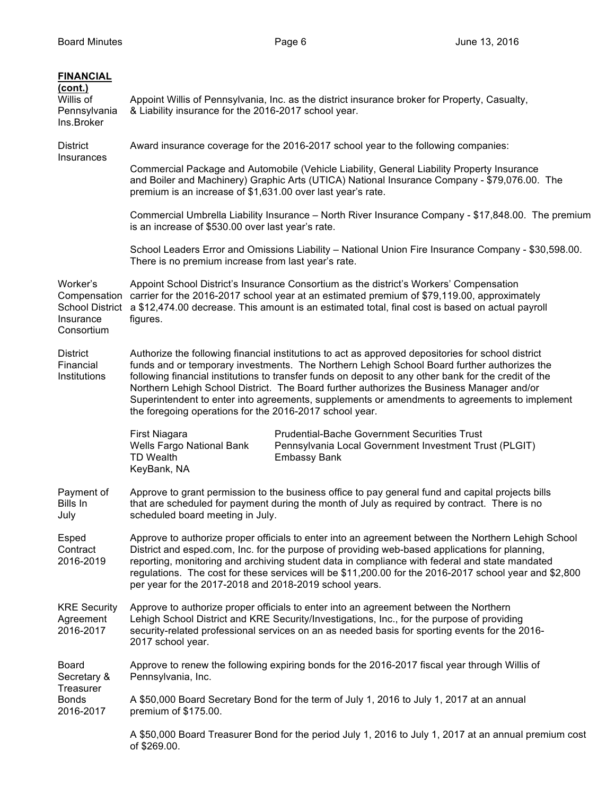| <b>FINANCIAL</b><br>(cont.)<br>Willis of<br>Pennsylvania<br>Ins.Broker        | Appoint Willis of Pennsylvania, Inc. as the district insurance broker for Property, Casualty,<br>& Liability insurance for the 2016-2017 school year.                                                                                                                                                                                                                                                                                                                                                                                                               |                                                                                                               |  |
|-------------------------------------------------------------------------------|---------------------------------------------------------------------------------------------------------------------------------------------------------------------------------------------------------------------------------------------------------------------------------------------------------------------------------------------------------------------------------------------------------------------------------------------------------------------------------------------------------------------------------------------------------------------|---------------------------------------------------------------------------------------------------------------|--|
| <b>District</b><br>Insurances                                                 | Award insurance coverage for the 2016-2017 school year to the following companies:                                                                                                                                                                                                                                                                                                                                                                                                                                                                                  |                                                                                                               |  |
|                                                                               | Commercial Package and Automobile (Vehicle Liability, General Liability Property Insurance<br>and Boiler and Machinery) Graphic Arts (UTICA) National Insurance Company - \$79,076.00. The<br>premium is an increase of \$1,631.00 over last year's rate.                                                                                                                                                                                                                                                                                                           |                                                                                                               |  |
|                                                                               | Commercial Umbrella Liability Insurance - North River Insurance Company - \$17,848.00. The premium<br>is an increase of \$530.00 over last year's rate.                                                                                                                                                                                                                                                                                                                                                                                                             |                                                                                                               |  |
|                                                                               | School Leaders Error and Omissions Liability - National Union Fire Insurance Company - \$30,598.00.<br>There is no premium increase from last year's rate.                                                                                                                                                                                                                                                                                                                                                                                                          |                                                                                                               |  |
| Worker's<br>Compensation<br><b>School District</b><br>Insurance<br>Consortium | Appoint School District's Insurance Consortium as the district's Workers' Compensation<br>carrier for the 2016-2017 school year at an estimated premium of \$79,119.00, approximately<br>a \$12,474.00 decrease. This amount is an estimated total, final cost is based on actual payroll<br>figures.                                                                                                                                                                                                                                                               |                                                                                                               |  |
| <b>District</b><br>Financial<br>Institutions                                  | Authorize the following financial institutions to act as approved depositories for school district<br>funds and or temporary investments. The Northern Lehigh School Board further authorizes the<br>following financial institutions to transfer funds on deposit to any other bank for the credit of the<br>Northern Lehigh School District. The Board further authorizes the Business Manager and/or<br>Superintendent to enter into agreements, supplements or amendments to agreements to implement<br>the foregoing operations for the 2016-2017 school year. |                                                                                                               |  |
|                                                                               | First Niagara<br>Wells Fargo National Bank<br><b>TD Wealth</b><br><b>Embassy Bank</b><br>KeyBank, NA                                                                                                                                                                                                                                                                                                                                                                                                                                                                | <b>Prudential-Bache Government Securities Trust</b><br>Pennsylvania Local Government Investment Trust (PLGIT) |  |
| Payment of<br>Bills In<br>July                                                | Approve to grant permission to the business office to pay general fund and capital projects bills<br>that are scheduled for payment during the month of July as required by contract. There is no<br>scheduled board meeting in July.                                                                                                                                                                                                                                                                                                                               |                                                                                                               |  |
| Esped<br>Contract<br>2016-2019                                                | Approve to authorize proper officials to enter into an agreement between the Northern Lehigh School<br>District and esped.com, Inc. for the purpose of providing web-based applications for planning,<br>reporting, monitoring and archiving student data in compliance with federal and state mandated<br>regulations. The cost for these services will be \$11,200.00 for the 2016-2017 school year and \$2,800<br>per year for the 2017-2018 and 2018-2019 school years.                                                                                         |                                                                                                               |  |
| <b>KRE Security</b><br>Agreement<br>2016-2017                                 | Approve to authorize proper officials to enter into an agreement between the Northern<br>Lehigh School District and KRE Security/Investigations, Inc., for the purpose of providing<br>security-related professional services on an as needed basis for sporting events for the 2016-<br>2017 school year.                                                                                                                                                                                                                                                          |                                                                                                               |  |
| <b>Board</b><br>Secretary &<br>Treasurer<br><b>Bonds</b><br>2016-2017         | Pennsylvania, Inc.                                                                                                                                                                                                                                                                                                                                                                                                                                                                                                                                                  | Approve to renew the following expiring bonds for the 2016-2017 fiscal year through Willis of                 |  |
|                                                                               | A \$50,000 Board Secretary Bond for the term of July 1, 2016 to July 1, 2017 at an annual<br>premium of \$175.00.                                                                                                                                                                                                                                                                                                                                                                                                                                                   |                                                                                                               |  |
|                                                                               | A \$50,000 Board Treasurer Bond for the period July 1, 2016 to July 1, 2017 at an annual premium cost<br>of \$269.00.                                                                                                                                                                                                                                                                                                                                                                                                                                               |                                                                                                               |  |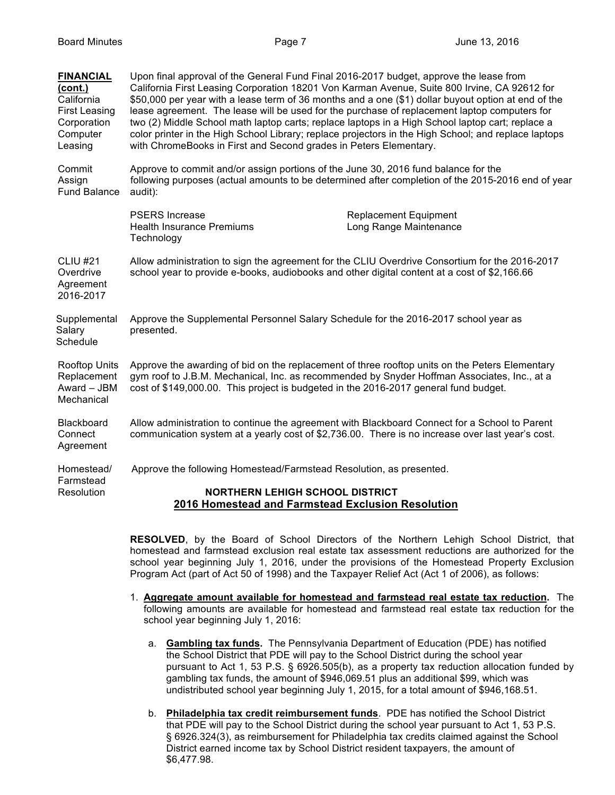| <b>FINANCIAL</b><br>(cont.)<br>California<br><b>First Leasing</b><br>Corporation<br>Computer<br>Leasing | Upon final approval of the General Fund Final 2016-2017 budget, approve the lease from<br>California First Leasing Corporation 18201 Von Karman Avenue, Suite 800 Irvine, CA 92612 for<br>\$50,000 per year with a lease term of 36 months and a one (\$1) dollar buyout option at end of the<br>lease agreement. The lease will be used for the purchase of replacement laptop computers for<br>two (2) Middle School math laptop carts; replace laptops in a High School laptop cart; replace a<br>color printer in the High School Library; replace projectors in the High School; and replace laptops<br>with ChromeBooks in First and Second grades in Peters Elementary. |                                                        |  |
|---------------------------------------------------------------------------------------------------------|--------------------------------------------------------------------------------------------------------------------------------------------------------------------------------------------------------------------------------------------------------------------------------------------------------------------------------------------------------------------------------------------------------------------------------------------------------------------------------------------------------------------------------------------------------------------------------------------------------------------------------------------------------------------------------|--------------------------------------------------------|--|
| Commit<br>Assign<br><b>Fund Balance</b>                                                                 | Approve to commit and/or assign portions of the June 30, 2016 fund balance for the<br>following purposes (actual amounts to be determined after completion of the 2015-2016 end of year<br>audit):                                                                                                                                                                                                                                                                                                                                                                                                                                                                             |                                                        |  |
|                                                                                                         | <b>PSERS</b> Increase<br><b>Health Insurance Premiums</b><br>Technology                                                                                                                                                                                                                                                                                                                                                                                                                                                                                                                                                                                                        | <b>Replacement Equipment</b><br>Long Range Maintenance |  |
| <b>CLIU #21</b><br>Overdrive<br>Agreement<br>2016-2017                                                  | Allow administration to sign the agreement for the CLIU Overdrive Consortium for the 2016-2017<br>school year to provide e-books, audiobooks and other digital content at a cost of \$2,166.66                                                                                                                                                                                                                                                                                                                                                                                                                                                                                 |                                                        |  |
| Supplemental<br>Salary<br>Schedule                                                                      | Approve the Supplemental Personnel Salary Schedule for the 2016-2017 school year as<br>presented.                                                                                                                                                                                                                                                                                                                                                                                                                                                                                                                                                                              |                                                        |  |
| <b>Rooftop Units</b><br>Replacement<br>Award - JBM<br>Mechanical                                        | Approve the awarding of bid on the replacement of three rooftop units on the Peters Elementary<br>gym roof to J.B.M. Mechanical, Inc. as recommended by Snyder Hoffman Associates, Inc., at a<br>cost of \$149,000.00. This project is budgeted in the 2016-2017 general fund budget.                                                                                                                                                                                                                                                                                                                                                                                          |                                                        |  |
| Blackboard<br>Connect<br>Agreement                                                                      | Allow administration to continue the agreement with Blackboard Connect for a School to Parent<br>communication system at a yearly cost of \$2,736.00. There is no increase over last year's cost.                                                                                                                                                                                                                                                                                                                                                                                                                                                                              |                                                        |  |
| Homestead/<br>Farmstead<br>Resolution                                                                   | Approve the following Homestead/Farmstead Resolution, as presented.                                                                                                                                                                                                                                                                                                                                                                                                                                                                                                                                                                                                            |                                                        |  |
|                                                                                                         | <b>NORTHERN LEHIGH SCHOOL DISTRICT</b><br>2016 Homestead and Farmstead Exclusion Resolution                                                                                                                                                                                                                                                                                                                                                                                                                                                                                                                                                                                    |                                                        |  |

**RESOLVED**, by the Board of School Directors of the Northern Lehigh School District, that homestead and farmstead exclusion real estate tax assessment reductions are authorized for the school year beginning July 1, 2016, under the provisions of the Homestead Property Exclusion Program Act (part of Act 50 of 1998) and the Taxpayer Relief Act (Act 1 of 2006), as follows:

- 1. **Aggregate amount available for homestead and farmstead real estate tax reduction.** The following amounts are available for homestead and farmstead real estate tax reduction for the school year beginning July 1, 2016:
	- a. **Gambling tax funds.** The Pennsylvania Department of Education (PDE) has notified the School District that PDE will pay to the School District during the school year pursuant to Act 1, 53 P.S. § 6926.505(b), as a property tax reduction allocation funded by gambling tax funds, the amount of \$946,069.51 plus an additional \$99, which was undistributed school year beginning July 1, 2015, for a total amount of \$946,168.51.
	- b. **Philadelphia tax credit reimbursement funds**. PDE has notified the School District that PDE will pay to the School District during the school year pursuant to Act 1, 53 P.S. § 6926.324(3), as reimbursement for Philadelphia tax credits claimed against the School District earned income tax by School District resident taxpayers, the amount of \$6,477.98.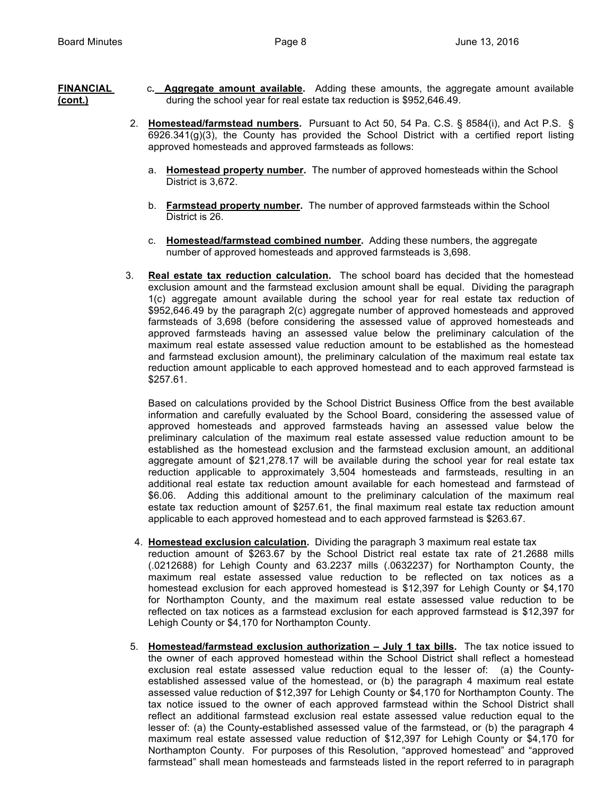- **FINANCIAL** c**. Aggregate amount available.** Adding these amounts, the aggregate amount available **(cont.)** during the school year for real estate tax reduction is \$952,646.49.
	- 2. **Homestead/farmstead numbers.** Pursuant to Act 50, 54 Pa. C.S. § 8584(i), and Act P.S. §  $6926.341(q)(3)$ , the County has provided the School District with a certified report listing approved homesteads and approved farmsteads as follows:
		- a. **Homestead property number.** The number of approved homesteads within the School District is 3,672.
		- b. **Farmstead property number.** The number of approved farmsteads within the School District is 26.
		- c. **Homestead/farmstead combined number.** Adding these numbers, the aggregate number of approved homesteads and approved farmsteads is 3,698.
	- 3. **Real estate tax reduction calculation.** The school board has decided that the homestead exclusion amount and the farmstead exclusion amount shall be equal. Dividing the paragraph 1(c) aggregate amount available during the school year for real estate tax reduction of \$952,646.49 by the paragraph 2(c) aggregate number of approved homesteads and approved farmsteads of 3,698 (before considering the assessed value of approved homesteads and approved farmsteads having an assessed value below the preliminary calculation of the maximum real estate assessed value reduction amount to be established as the homestead and farmstead exclusion amount), the preliminary calculation of the maximum real estate tax reduction amount applicable to each approved homestead and to each approved farmstead is \$257.61.

Based on calculations provided by the School District Business Office from the best available information and carefully evaluated by the School Board, considering the assessed value of approved homesteads and approved farmsteads having an assessed value below the preliminary calculation of the maximum real estate assessed value reduction amount to be established as the homestead exclusion and the farmstead exclusion amount, an additional aggregate amount of \$21,278.17 will be available during the school year for real estate tax reduction applicable to approximately 3,504 homesteads and farmsteads, resulting in an additional real estate tax reduction amount available for each homestead and farmstead of \$6.06. Adding this additional amount to the preliminary calculation of the maximum real estate tax reduction amount of \$257.61, the final maximum real estate tax reduction amount applicable to each approved homestead and to each approved farmstead is \$263.67.

4. **Homestead exclusion calculation.** Dividing the paragraph 3 maximum real estate tax

reduction amount of \$263.67 by the School District real estate tax rate of 21.2688 mills (.0212688) for Lehigh County and 63.2237 mills (.0632237) for Northampton County, the maximum real estate assessed value reduction to be reflected on tax notices as a homestead exclusion for each approved homestead is \$12,397 for Lehigh County or \$4,170 for Northampton County, and the maximum real estate assessed value reduction to be reflected on tax notices as a farmstead exclusion for each approved farmstead is \$12,397 for Lehigh County or \$4,170 for Northampton County.

5. **Homestead/farmstead exclusion authorization – July 1 tax bills.** The tax notice issued to the owner of each approved homestead within the School District shall reflect a homestead exclusion real estate assessed value reduction equal to the lesser of: (a) the Countyestablished assessed value of the homestead, or (b) the paragraph 4 maximum real estate assessed value reduction of \$12,397 for Lehigh County or \$4,170 for Northampton County. The tax notice issued to the owner of each approved farmstead within the School District shall reflect an additional farmstead exclusion real estate assessed value reduction equal to the lesser of: (a) the County-established assessed value of the farmstead, or (b) the paragraph 4 maximum real estate assessed value reduction of \$12,397 for Lehigh County or \$4,170 for Northampton County. For purposes of this Resolution, "approved homestead" and "approved farmstead" shall mean homesteads and farmsteads listed in the report referred to in paragraph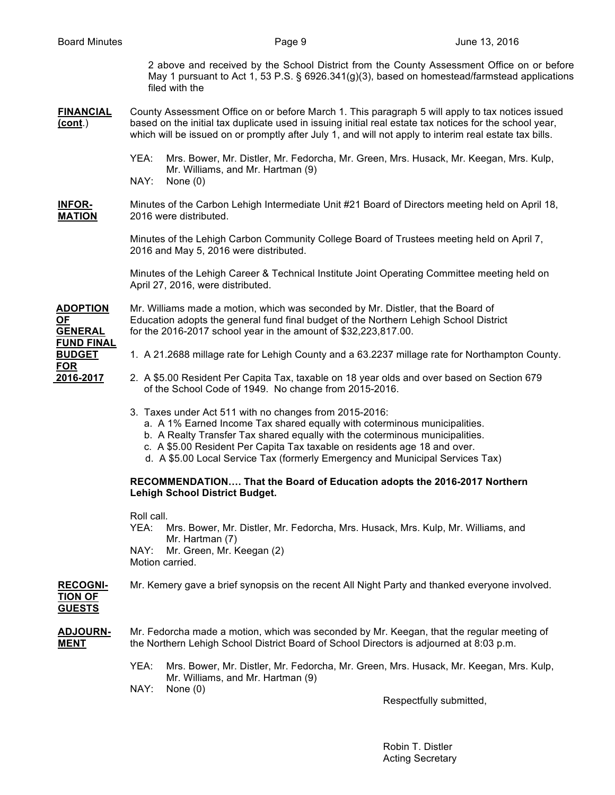2 above and received by the School District from the County Assessment Office on or before May 1 pursuant to Act 1, 53 P.S. § 6926.341(g)(3), based on homestead/farmstead applications filed with the

#### **FINANCIAL** County Assessment Office on or before March 1. This paragraph 5 will apply to tax notices issued **(cont**.) based on the initial tax duplicate used in issuing initial real estate tax notices for the school year, which will be issued on or promptly after July 1, and will not apply to interim real estate tax bills.

- YEA: Mrs. Bower, Mr. Distler, Mr. Fedorcha, Mr. Green, Mrs. Husack, Mr. Keegan, Mrs. Kulp, Mr. Williams, and Mr. Hartman (9)
- NAY: None (0)

# **INFOR-** Minutes of the Carbon Lehigh Intermediate Unit #21 Board of Directors meeting held on April 18, **MATION** 2016 were distributed.

Minutes of the Lehigh Carbon Community College Board of Trustees meeting held on April 7, 2016 and May 5, 2016 were distributed.

Minutes of the Lehigh Career & Technical Institute Joint Operating Committee meeting held on April 27, 2016, were distributed.

**ADOPTION** Mr. Williams made a motion, which was seconded by Mr. Distler, that the Board of **OF** Education adopts the general fund final budget of the Northern Lehigh School District **GENERAL** for the 2016-2017 school year in the amount of \$32,223,817.00. **FUND FINAL FOR**

- **BUDGET** 1. A 21.2688 millage rate for Lehigh County and a 63.2237 millage rate for Northampton County.
- **2016-2017** 2. A \$5.00 Resident Per Capita Tax, taxable on 18 year olds and over based on Section 679 of the School Code of 1949. No change from 2015-2016.
	- 3. Taxes under Act 511 with no changes from 2015-2016:
		- a. A 1% Earned Income Tax shared equally with coterminous municipalities.
		- b. A Realty Transfer Tax shared equally with the coterminous municipalities.
		- c. A \$5.00 Resident Per Capita Tax taxable on residents age 18 and over.
		- d. A \$5.00 Local Service Tax (formerly Emergency and Municipal Services Tax)

### **RECOMMENDATION…. That the Board of Education adopts the 2016-2017 Northern Lehigh School District Budget.**

Roll call.

YEA: Mrs. Bower, Mr. Distler, Mr. Fedorcha, Mrs. Husack, Mrs. Kulp, Mr. Williams, and Mr. Hartman (7) NAY: Mr. Green, Mr. Keegan (2) Motion carried.

## **RECOGNI-** Mr. Kemery gave a brief synopsis on the recent All Night Party and thanked everyone involved. **TION OF GUESTS**

## **ADJOURN-** Mr. Fedorcha made a motion, which was seconded by Mr. Keegan, that the regular meeting of **MENT** the Northern Lehigh School District Board of School Directors is adjourned at 8:03 p.m.

- YEA: Mrs. Bower, Mr. Distler, Mr. Fedorcha, Mr. Green, Mrs. Husack, Mr. Keegan, Mrs. Kulp, Mr. Williams, and Mr. Hartman (9)
- NAY: None (0)

Respectfully submitted,